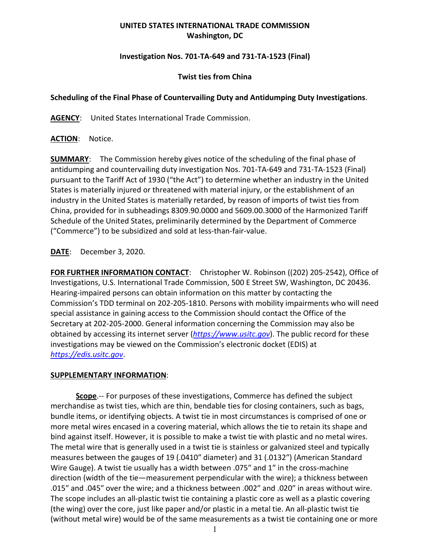## **UNITED STATES INTERNATIONAL TRADE COMMISSION Washington, DC**

### **Investigation Nos. 701-TA-649 and 731-TA-1523 (Final)**

### **Twist ties from China**

## **Scheduling of the Final Phase of Countervailing Duty and Antidumping Duty Investigations**.

**AGENCY**: United States International Trade Commission.

**ACTION**: Notice.

**SUMMARY**: The Commission hereby gives notice of the scheduling of the final phase of antidumping and countervailing duty investigation Nos. 701-TA-649 and 731-TA-1523 (Final) pursuant to the Tariff Act of 1930 ("the Act") to determine whether an industry in the United States is materially injured or threatened with material injury, or the establishment of an industry in the United States is materially retarded, by reason of imports of twist ties from China, provided for in subheadings 8309.90.0000 and 5609.00.3000 of the Harmonized Tariff Schedule of the United States, preliminarily determined by the Department of Commerce ("Commerce") to be subsidized and sold at less-than-fair-value.

# **DATE**: December 3, 2020.

**FOR FURTHER INFORMATION CONTACT**: Christopher W. Robinson ((202) 205-2542), Office of Investigations, U.S. International Trade Commission, 500 E Street SW, Washington, DC 20436. Hearing-impaired persons can obtain information on this matter by contacting the Commission's TDD terminal on 202-205-1810. Persons with mobility impairments who will need special assistance in gaining access to the Commission should contact the Office of the Secretary at 202-205-2000. General information concerning the Commission may also be obtained by accessing its internet server (*[https://www.usitc.gov](https://www.usitc.gov/)*). The public record for these investigations may be viewed on the Commission's electronic docket (EDIS) at *[https://edis.usitc.gov](https://edis.usitc.gov/)*.

### **SUPPLEMENTARY INFORMATION**:

**Scope**.-- For purposes of these investigations, Commerce has defined the subject merchandise as twist ties, which are thin, bendable ties for closing containers, such as bags, bundle items, or identifying objects. A twist tie in most circumstances is comprised of one or more metal wires encased in a covering material, which allows the tie to retain its shape and bind against itself. However, it is possible to make a twist tie with plastic and no metal wires. The metal wire that is generally used in a twist tie is stainless or galvanized steel and typically measures between the gauges of 19 (.0410″ diameter) and 31 (.0132″) (American Standard Wire Gauge). A twist tie usually has a width between .075″ and 1″ in the cross-machine direction (width of the tie—measurement perpendicular with the wire); a thickness between .015″ and .045″ over the wire; and a thickness between .002″ and .020″ in areas without wire. The scope includes an all-plastic twist tie containing a plastic core as well as a plastic covering (the wing) over the core, just like paper and/or plastic in a metal tie. An all-plastic twist tie (without metal wire) would be of the same measurements as a twist tie containing one or more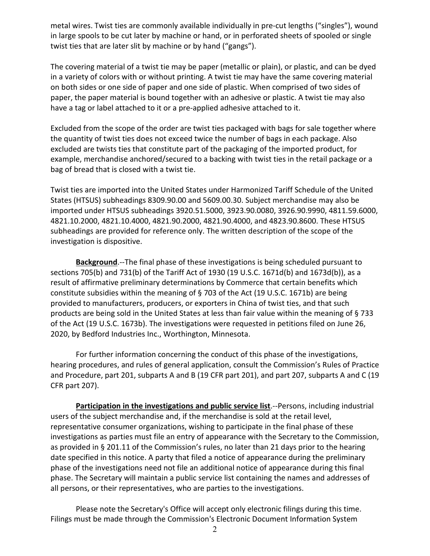metal wires. Twist ties are commonly available individually in pre-cut lengths ("singles"), wound in large spools to be cut later by machine or hand, or in perforated sheets of spooled or single twist ties that are later slit by machine or by hand ("gangs").

The covering material of a twist tie may be paper (metallic or plain), or plastic, and can be dyed in a variety of colors with or without printing. A twist tie may have the same covering material on both sides or one side of paper and one side of plastic. When comprised of two sides of paper, the paper material is bound together with an adhesive or plastic. A twist tie may also have a tag or label attached to it or a pre-applied adhesive attached to it.

Excluded from the scope of the order are twist ties packaged with bags for sale together where the quantity of twist ties does not exceed twice the number of bags in each package. Also excluded are twists ties that constitute part of the packaging of the imported product, for example, merchandise anchored/secured to a backing with twist ties in the retail package or a bag of bread that is closed with a twist tie.

Twist ties are imported into the United States under Harmonized Tariff Schedule of the United States (HTSUS) subheadings 8309.90.00 and 5609.00.30. Subject merchandise may also be imported under HTSUS subheadings 3920.51.5000, 3923.90.0080, 3926.90.9990, 4811.59.6000, 4821.10.2000, 4821.10.4000, 4821.90.2000, 4821.90.4000, and 4823.90.8600. These HTSUS subheadings are provided for reference only. The written description of the scope of the investigation is dispositive.

**Background**.--The final phase of these investigations is being scheduled pursuant to sections 705(b) and 731(b) of the Tariff Act of 1930 (19 U.S.C. 1671d(b) and 1673d(b)), as a result of affirmative preliminary determinations by Commerce that certain benefits which constitute subsidies within the meaning of § 703 of the Act (19 U.S.C. 1671b) are being provided to manufacturers, producers, or exporters in China of twist ties, and that such products are being sold in the United States at less than fair value within the meaning of § 733 of the Act (19 U.S.C. 1673b). The investigations were requested in petitions filed on June 26, 2020, by Bedford Industries Inc., Worthington, Minnesota.

For further information concerning the conduct of this phase of the investigations, hearing procedures, and rules of general application, consult the Commission's Rules of Practice and Procedure, part 201, subparts A and B (19 CFR part 201), and part 207, subparts A and C (19 CFR part 207).

**Participation in the investigations and public service list**.--Persons, including industrial users of the subject merchandise and, if the merchandise is sold at the retail level, representative consumer organizations, wishing to participate in the final phase of these investigations as parties must file an entry of appearance with the Secretary to the Commission, as provided in § 201.11 of the Commission's rules, no later than 21 days prior to the hearing date specified in this notice. A party that filed a notice of appearance during the preliminary phase of the investigations need not file an additional notice of appearance during this final phase. The Secretary will maintain a public service list containing the names and addresses of all persons, or their representatives, who are parties to the investigations.

Please note the Secretary's Office will accept only electronic filings during this time. Filings must be made through the Commission's Electronic Document Information System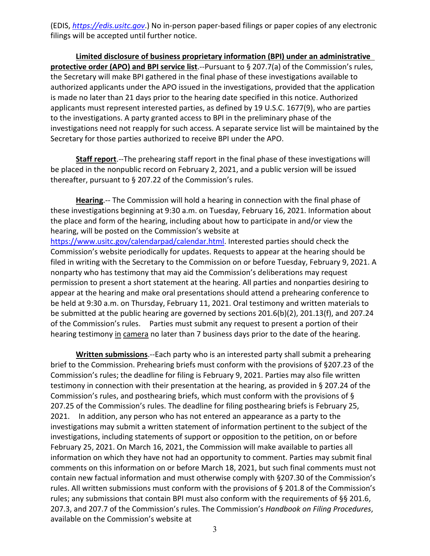(EDIS, *[https://edis.usitc.gov](https://edis.usitc.gov/)*.) No in-person paper-based filings or paper copies of any electronic filings will be accepted until further notice.

**Limited disclosure of business proprietary information (BPI) under an administrative protective order (APO) and BPI service list**.--Pursuant to § 207.7(a) of the Commission's rules, the Secretary will make BPI gathered in the final phase of these investigations available to authorized applicants under the APO issued in the investigations, provided that the application is made no later than 21 days prior to the hearing date specified in this notice. Authorized applicants must represent interested parties, as defined by 19 U.S.C. 1677(9), who are parties to the investigations. A party granted access to BPI in the preliminary phase of the investigations need not reapply for such access. A separate service list will be maintained by the Secretary for those parties authorized to receive BPI under the APO.

**Staff report**.--The prehearing staff report in the final phase of these investigations will be placed in the nonpublic record on February 2, 2021, and a public version will be issued thereafter, pursuant to § 207.22 of the Commission's rules.

**Hearing**.-- The Commission will hold a hearing in connection with the final phase of these investigations beginning at 9:30 a.m. on Tuesday, February 16, 2021. Information about the place and form of the hearing, including about how to participate in and/or view the hearing, will be posted on the Commission's website at [https://www.usitc.gov/calendarpad/calendar.html.](https://www.usitc.gov/calendarpad/calendar.html) Interested parties should check the Commission's website periodically for updates. Requests to appear at the hearing should be filed in writing with the Secretary to the Commission on or before Tuesday, February 9, 2021. A nonparty who has testimony that may aid the Commission's deliberations may request permission to present a short statement at the hearing. All parties and nonparties desiring to appear at the hearing and make oral presentations should attend a prehearing conference to be held at 9:30 a.m. on Thursday, February 11, 2021. Oral testimony and written materials to be submitted at the public hearing are governed by sections 201.6(b)(2), 201.13(f), and 207.24 of the Commission's rules. Parties must submit any request to present a portion of their hearing testimony in camera no later than 7 business days prior to the date of the hearing.

**Written submissions**.--Each party who is an interested party shall submit a prehearing brief to the Commission. Prehearing briefs must conform with the provisions of §207.23 of the Commission's rules; the deadline for filing is February 9, 2021. Parties may also file written testimony in connection with their presentation at the hearing, as provided in § 207.24 of the Commission's rules, and posthearing briefs, which must conform with the provisions of § 207.25 of the Commission's rules. The deadline for filing posthearing briefs is February 25, 2021. In addition, any person who has not entered an appearance as a party to the investigations may submit a written statement of information pertinent to the subject of the investigations, including statements of support or opposition to the petition, on or before February 25, 2021. On March 16, 2021, the Commission will make available to parties all information on which they have not had an opportunity to comment. Parties may submit final comments on this information on or before March 18, 2021, but such final comments must not contain new factual information and must otherwise comply with §207.30 of the Commission's rules. All written submissions must conform with the provisions of § 201.8 of the Commission's rules; any submissions that contain BPI must also conform with the requirements of §§ 201.6, 207.3, and 207.7 of the Commission's rules. The Commission's *Handbook on Filing Procedures*, available on the Commission's website at